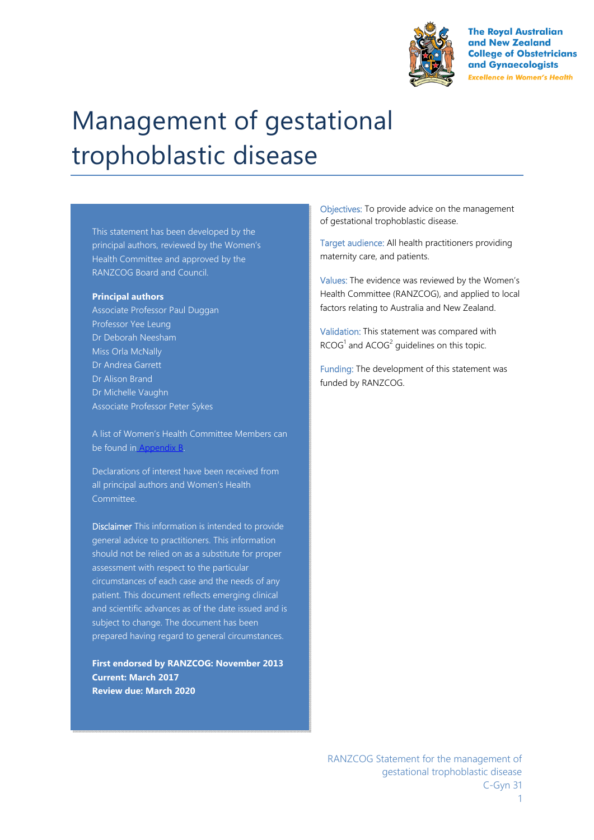

**The Royal Australian** and New Zealand **College of Obstetricians** and Gynaecologists **Excellence in Women's Health** 

# Management of gestational trophoblastic disease

This statement has been developed by the principal authors, reviewed by the Women's Health Committee and approved by the RANZCOG Board and Council.

#### **Principal authors**

Associate Professor Paul Duggan Professor Yee Leung Dr Deborah Neesham Miss Orla McNally Dr Andrea Garrett Dr Alison Brand Dr Michelle Vaughn Associate Professor Peter Sykes

A list of Women's Health Committee Members can be found in Appendix B.

Declarations of interest have been received from all principal authors and Women's Health Committee.

Disclaimer This information is intended to provide general advice to practitioners. This information should not be relied on as a substitute for proper assessment with respect to the particular circumstances of each case and the needs of any patient. This document reflects emerging clinical and scientific advances as of the date issued and is subject to change. The document has been prepared having regard to general circumstances.

**First endorsed by RANZCOG: November 2013 Current: March 2017 Review due: March 2020** 

Objectives: To provide advice on the management of gestational trophoblastic disease.

Target audience: All health practitioners providing maternity care, and patients.

Values: The evidence was reviewed by the Women's Health Committee (RANZCOG), and applied to local factors relating to Australia and New Zealand.

Validation: This statement was compared with  $RCOG<sup>1</sup>$  and  $ACOG<sup>2</sup>$  guidelines on this topic.

Funding: The development of this statement was funded by RANZCOG.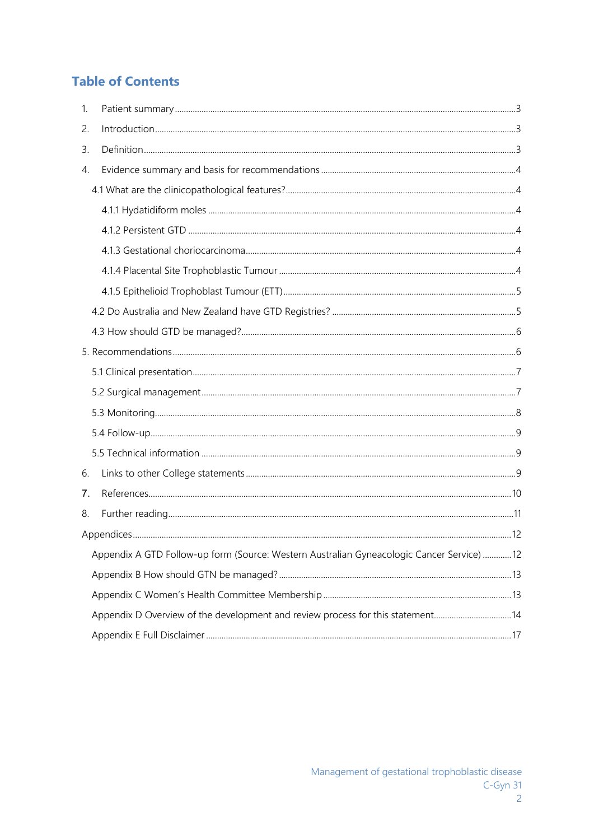# **Table of Contents**

| 1. |                                                                                                                                                                                                                                                                                                                                                                                    |  |
|----|------------------------------------------------------------------------------------------------------------------------------------------------------------------------------------------------------------------------------------------------------------------------------------------------------------------------------------------------------------------------------------|--|
| 2. | $\int_0^{\pi} \frac{1}{2} \int_0^{\pi} \frac{1}{2} \int_0^{\pi} \frac{1}{2} \int_0^{\pi} \frac{1}{2} \int_0^{\pi} \frac{1}{2} \int_0^{\pi} \frac{1}{2} \int_0^{\pi} \frac{1}{2} \int_0^{\pi} \frac{1}{2} \int_0^{\pi} \frac{1}{2} \int_0^{\pi} \frac{1}{2} \int_0^{\pi} \frac{1}{2} \int_0^{\pi} \frac{1}{2} \int_0^{\pi} \frac{1}{2} \int_0^{\pi} \frac{1}{2} \int_0^{\pi} \frac$ |  |
| 3. |                                                                                                                                                                                                                                                                                                                                                                                    |  |
| 4. |                                                                                                                                                                                                                                                                                                                                                                                    |  |
|    |                                                                                                                                                                                                                                                                                                                                                                                    |  |
|    |                                                                                                                                                                                                                                                                                                                                                                                    |  |
|    |                                                                                                                                                                                                                                                                                                                                                                                    |  |
|    |                                                                                                                                                                                                                                                                                                                                                                                    |  |
|    |                                                                                                                                                                                                                                                                                                                                                                                    |  |
|    |                                                                                                                                                                                                                                                                                                                                                                                    |  |
|    |                                                                                                                                                                                                                                                                                                                                                                                    |  |
|    |                                                                                                                                                                                                                                                                                                                                                                                    |  |
|    |                                                                                                                                                                                                                                                                                                                                                                                    |  |
|    |                                                                                                                                                                                                                                                                                                                                                                                    |  |
|    |                                                                                                                                                                                                                                                                                                                                                                                    |  |
|    |                                                                                                                                                                                                                                                                                                                                                                                    |  |
|    |                                                                                                                                                                                                                                                                                                                                                                                    |  |
|    |                                                                                                                                                                                                                                                                                                                                                                                    |  |
| 6. |                                                                                                                                                                                                                                                                                                                                                                                    |  |
| 7. |                                                                                                                                                                                                                                                                                                                                                                                    |  |
| 8. |                                                                                                                                                                                                                                                                                                                                                                                    |  |
|    |                                                                                                                                                                                                                                                                                                                                                                                    |  |
|    | Appendix A GTD Follow-up form (Source: Western Australian Gyneacologic Cancer Service)  12                                                                                                                                                                                                                                                                                         |  |
|    |                                                                                                                                                                                                                                                                                                                                                                                    |  |
|    |                                                                                                                                                                                                                                                                                                                                                                                    |  |
|    | Appendix D Overview of the development and review process for this statement14                                                                                                                                                                                                                                                                                                     |  |
|    |                                                                                                                                                                                                                                                                                                                                                                                    |  |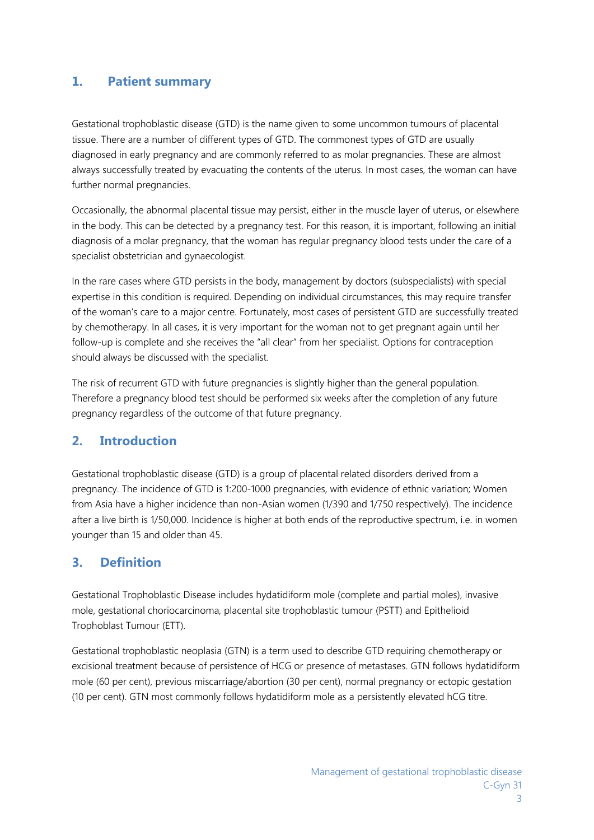## **1. Patient summary**

Gestational trophoblastic disease (GTD) is the name given to some uncommon tumours of placental tissue. There are a number of different types of GTD. The commonest types of GTD are usually diagnosed in early pregnancy and are commonly referred to as molar pregnancies. These are almost always successfully treated by evacuating the contents of the uterus. In most cases, the woman can have further normal pregnancies.

Occasionally, the abnormal placental tissue may persist, either in the muscle layer of uterus, or elsewhere in the body. This can be detected by a pregnancy test. For this reason, it is important, following an initial diagnosis of a molar pregnancy, that the woman has regular pregnancy blood tests under the care of a specialist obstetrician and gynaecologist.

In the rare cases where GTD persists in the body, management by doctors (subspecialists) with special expertise in this condition is required. Depending on individual circumstances, this may require transfer of the woman's care to a major centre. Fortunately, most cases of persistent GTD are successfully treated by chemotherapy. In all cases, it is very important for the woman not to get pregnant again until her follow-up is complete and she receives the "all clear" from her specialist. Options for contraception should always be discussed with the specialist.

The risk of recurrent GTD with future pregnancies is slightly higher than the general population. Therefore a pregnancy blood test should be performed six weeks after the completion of any future pregnancy regardless of the outcome of that future pregnancy.

## **2. Introduction**

Gestational trophoblastic disease (GTD) is a group of placental related disorders derived from a pregnancy. The incidence of GTD is 1:200-1000 pregnancies, with evidence of ethnic variation; Women from Asia have a higher incidence than non-Asian women (1/390 and 1/750 respectively). The incidence after a live birth is 1/50,000. Incidence is higher at both ends of the reproductive spectrum, i.e. in women younger than 15 and older than 45.

## **3. Definition**

Gestational Trophoblastic Disease includes hydatidiform mole (complete and partial moles), invasive mole, gestational choriocarcinoma, placental site trophoblastic tumour (PSTT) and Epithelioid Trophoblast Tumour (ETT).

Gestational trophoblastic neoplasia (GTN) is a term used to describe GTD requiring chemotherapy or excisional treatment because of persistence of HCG or presence of metastases. GTN follows hydatidiform mole (60 per cent), previous miscarriage/abortion (30 per cent), normal pregnancy or ectopic gestation (10 per cent). GTN most commonly follows hydatidiform mole as a persistently elevated hCG titre.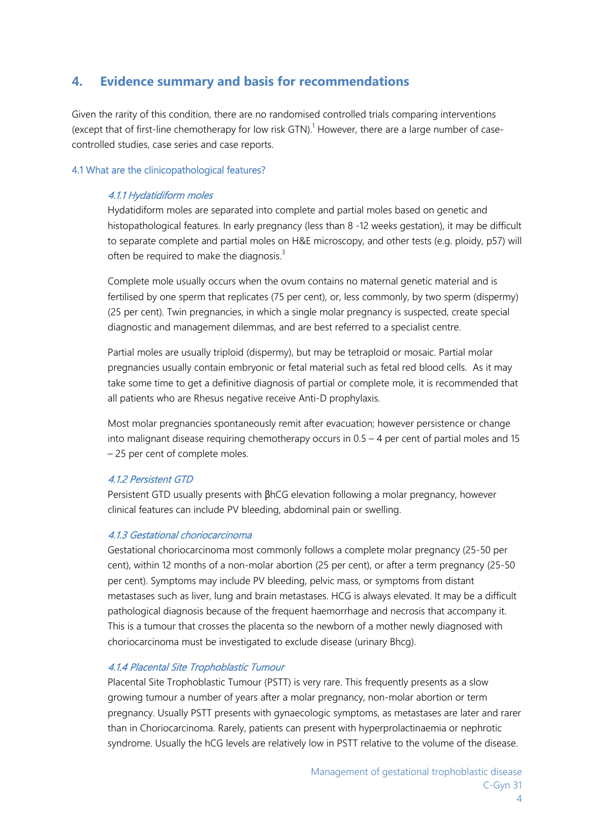## **4. Evidence summary and basis for recommendations**

Given the rarity of this condition, there are no randomised controlled trials comparing interventions (except that of first-line chemotherapy for low risk GTN).<sup>1</sup> However, there are a large number of casecontrolled studies, case series and case reports.

#### 4.1 What are the clinicopathological features?

#### 4.1.1 Hydatidiform moles

Hydatidiform moles are separated into complete and partial moles based on genetic and histopathological features. In early pregnancy (less than 8 -12 weeks gestation), it may be difficult to separate complete and partial moles on H&E microscopy, and other tests (e.g. ploidy, p57) will often be required to make the diagnosis.<sup>3</sup>

Complete mole usually occurs when the ovum contains no maternal genetic material and is fertilised by one sperm that replicates (75 per cent), or, less commonly, by two sperm (dispermy) (25 per cent). Twin pregnancies, in which a single molar pregnancy is suspected, create special diagnostic and management dilemmas, and are best referred to a specialist centre.

Partial moles are usually triploid (dispermy), but may be tetraploid or mosaic. Partial molar pregnancies usually contain embryonic or fetal material such as fetal red blood cells. As it may take some time to get a definitive diagnosis of partial or complete mole, it is recommended that all patients who are Rhesus negative receive Anti-D prophylaxis.

Most molar pregnancies spontaneously remit after evacuation; however persistence or change into malignant disease requiring chemotherapy occurs in 0.5 – 4 per cent of partial moles and 15 – 25 per cent of complete moles.

#### 4.1.2 Persistent GTD

Persistent GTD usually presents with βhCG elevation following a molar pregnancy, however clinical features can include PV bleeding, abdominal pain or swelling.

#### 4.1.3 Gestational choriocarcinoma

Gestational choriocarcinoma most commonly follows a complete molar pregnancy (25-50 per cent), within 12 months of a non-molar abortion (25 per cent), or after a term pregnancy (25-50 per cent). Symptoms may include PV bleeding, pelvic mass, or symptoms from distant metastases such as liver, lung and brain metastases. HCG is always elevated. It may be a difficult pathological diagnosis because of the frequent haemorrhage and necrosis that accompany it. This is a tumour that crosses the placenta so the newborn of a mother newly diagnosed with choriocarcinoma must be investigated to exclude disease (urinary Bhcg).

#### 4.1.4 Placental Site Trophoblastic Tumour

Placental Site Trophoblastic Tumour (PSTT) is very rare. This frequently presents as a slow growing tumour a number of years after a molar pregnancy, non-molar abortion or term pregnancy. Usually PSTT presents with gynaecologic symptoms, as metastases are later and rarer than in Choriocarcinoma. Rarely, patients can present with hyperprolactinaemia or nephrotic syndrome. Usually the hCG levels are relatively low in PSTT relative to the volume of the disease.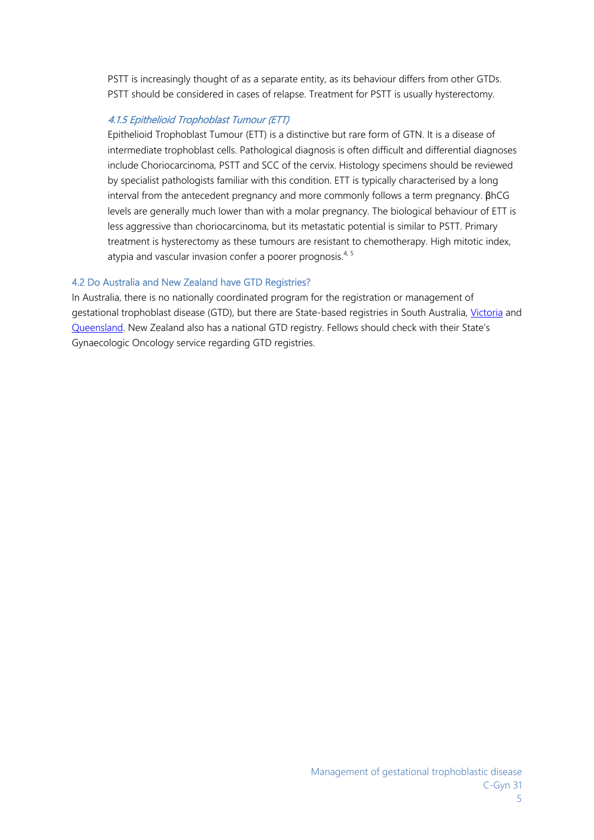PSTT is increasingly thought of as a separate entity, as its behaviour differs from other GTDs. PSTT should be considered in cases of relapse. Treatment for PSTT is usually hysterectomy.

## 4.1.5 Epithelioid Trophoblast Tumour (ETT)

Epithelioid Trophoblast Tumour (ETT) is a distinctive but rare form of GTN. It is a disease of intermediate trophoblast cells. Pathological diagnosis is often difficult and differential diagnoses include Choriocarcinoma, PSTT and SCC of the cervix. Histology specimens should be reviewed by specialist pathologists familiar with this condition. ETT is typically characterised by a long interval from the antecedent pregnancy and more commonly follows a term pregnancy. βhCG levels are generally much lower than with a molar pregnancy. The biological behaviour of ETT is less aggressive than choriocarcinoma, but its metastatic potential is similar to PSTT. Primary treatment is hysterectomy as these tumours are resistant to chemotherapy. High mitotic index, atypia and vascular invasion confer a poorer prognosis. $4,5$ 

#### 4.2 Do Australia and New Zealand have GTD Registries?

In Australia, there is no nationally coordinated program for the registration or management of gestational trophoblast disease (GTD), but there are State-based registries in South Australia, Victoria and Queensland. New Zealand also has a national GTD registry. Fellows should check with their State's Gynaecologic Oncology service regarding GTD registries.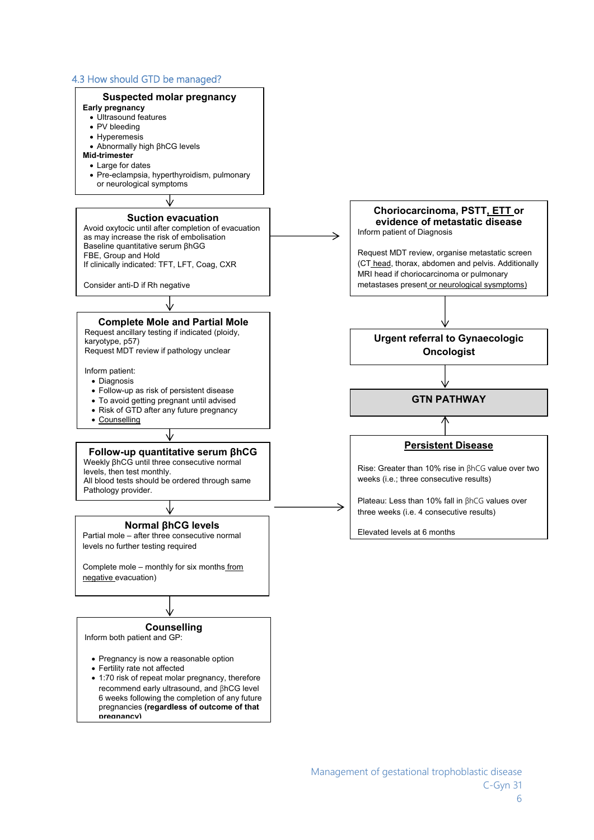#### 4.3 How should GTD be managed?

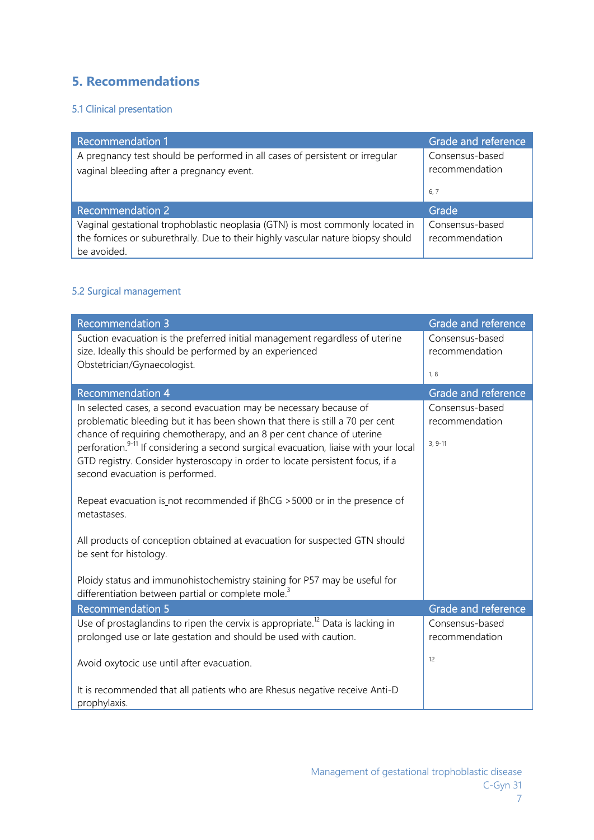# **5. Recommendations**

## 5.1 Clinical presentation

| <b>Recommendation 1</b>                                                                                                                                                          | Grade and reference               |
|----------------------------------------------------------------------------------------------------------------------------------------------------------------------------------|-----------------------------------|
| A pregnancy test should be performed in all cases of persistent or irregular<br>vaginal bleeding after a pregnancy event.                                                        | Consensus-based<br>recommendation |
|                                                                                                                                                                                  | 6, 7                              |
| <b>Recommendation 2</b>                                                                                                                                                          | Grade                             |
| Vaginal gestational trophoblastic neoplasia (GTN) is most commonly located in<br>the fornices or suburethrally. Due to their highly vascular nature biopsy should<br>be avoided. | Consensus-based<br>recommendation |

## 5.2 Surgical management

| <b>Recommendation 3</b>                                                                                                                                                                                                                                                                                                                                                                                                                             | Grade and reference                            |
|-----------------------------------------------------------------------------------------------------------------------------------------------------------------------------------------------------------------------------------------------------------------------------------------------------------------------------------------------------------------------------------------------------------------------------------------------------|------------------------------------------------|
| Suction evacuation is the preferred initial management regardless of uterine<br>size. Ideally this should be performed by an experienced<br>Obstetrician/Gynaecologist.                                                                                                                                                                                                                                                                             | Consensus-based<br>recommendation              |
|                                                                                                                                                                                                                                                                                                                                                                                                                                                     | 1, 8                                           |
| <b>Recommendation 4</b>                                                                                                                                                                                                                                                                                                                                                                                                                             | Grade and reference                            |
| In selected cases, a second evacuation may be necessary because of<br>problematic bleeding but it has been shown that there is still a 70 per cent<br>chance of requiring chemotherapy, and an 8 per cent chance of uterine<br>perforation. <sup>9-11</sup> If considering a second surgical evacuation, liaise with your local<br>GTD registry. Consider hysteroscopy in order to locate persistent focus, if a<br>second evacuation is performed. | Consensus-based<br>recommendation<br>$3, 9-11$ |
| Repeat evacuation is not recommended if $\beta$ hCG > 5000 or in the presence of<br>metastases.                                                                                                                                                                                                                                                                                                                                                     |                                                |
| All products of conception obtained at evacuation for suspected GTN should<br>be sent for histology.                                                                                                                                                                                                                                                                                                                                                |                                                |
| Ploidy status and immunohistochemistry staining for P57 may be useful for<br>differentiation between partial or complete mole. <sup>3</sup>                                                                                                                                                                                                                                                                                                         |                                                |
| Recommendation 5                                                                                                                                                                                                                                                                                                                                                                                                                                    | Grade and reference                            |
| Use of prostaglandins to ripen the cervix is appropriate. <sup>12</sup> Data is lacking in<br>prolonged use or late gestation and should be used with caution.                                                                                                                                                                                                                                                                                      | Consensus-based<br>recommendation              |
| Avoid oxytocic use until after evacuation.                                                                                                                                                                                                                                                                                                                                                                                                          | 12                                             |
| It is recommended that all patients who are Rhesus negative receive Anti-D<br>prophylaxis.                                                                                                                                                                                                                                                                                                                                                          |                                                |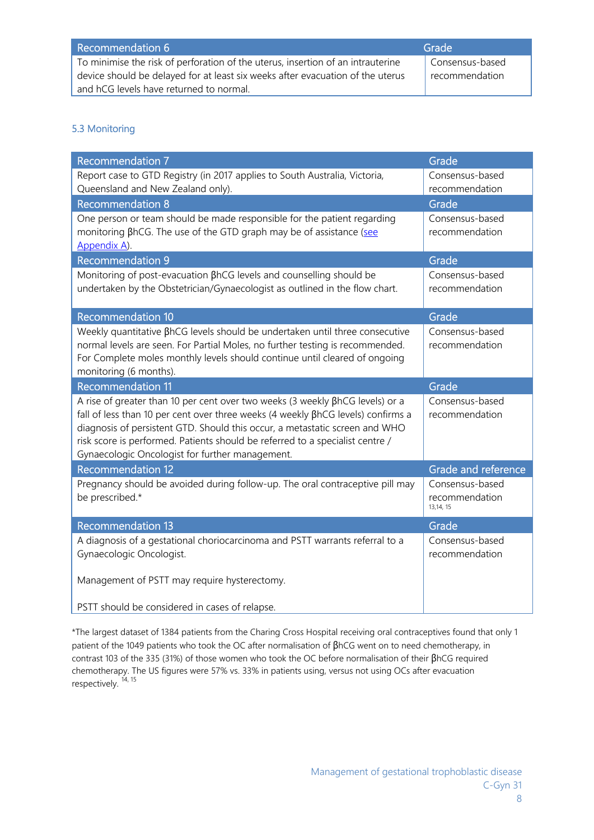| Recommendation 6                                                                | Grade                       |
|---------------------------------------------------------------------------------|-----------------------------|
| To minimise the risk of perforation of the uterus, insertion of an intrauterine | Consensus-based             |
| device should be delayed for at least six weeks after evacuation of the uterus  | <sup>1</sup> recommendation |
| and hCG levels have returned to normal.                                         |                             |

## 5.3 Monitoring

| <b>Recommendation 7</b>                                                             | Grade                       |
|-------------------------------------------------------------------------------------|-----------------------------|
| Report case to GTD Registry (in 2017 applies to South Australia, Victoria,          | Consensus-based             |
| Queensland and New Zealand only).                                                   | recommendation              |
| <b>Recommendation 8</b>                                                             | Grade                       |
| One person or team should be made responsible for the patient regarding             | Consensus-based             |
| monitoring BhCG. The use of the GTD graph may be of assistance (see<br>Appendix A). | recommendation              |
| <b>Recommendation 9</b>                                                             | Grade                       |
| Monitoring of post-evacuation BhCG levels and counselling should be                 | Consensus-based             |
| undertaken by the Obstetrician/Gynaecologist as outlined in the flow chart.         | recommendation              |
| <b>Recommendation 10</b>                                                            | Grade                       |
| Weekly quantitative BhCG levels should be undertaken until three consecutive        | Consensus-based             |
| normal levels are seen. For Partial Moles, no further testing is recommended.       | recommendation              |
| For Complete moles monthly levels should continue until cleared of ongoing          |                             |
| monitoring (6 months).                                                              |                             |
|                                                                                     |                             |
| <b>Recommendation 11</b>                                                            | Grade                       |
| A rise of greater than 10 per cent over two weeks (3 weekly BhCG levels) or a       | Consensus-based             |
| fall of less than 10 per cent over three weeks (4 weekly BhCG levels) confirms a    | recommendation              |
| diagnosis of persistent GTD. Should this occur, a metastatic screen and WHO         |                             |
| risk score is performed. Patients should be referred to a specialist centre /       |                             |
| Gynaecologic Oncologist for further management.                                     |                             |
| <b>Recommendation 12</b>                                                            | Grade and reference         |
| Pregnancy should be avoided during follow-up. The oral contraceptive pill may       | Consensus-based             |
| be prescribed.*                                                                     | recommendation<br>13,14, 15 |
| <b>Recommendation 13</b>                                                            | Grade                       |
| A diagnosis of a gestational choriocarcinoma and PSTT warrants referral to a        | Consensus-based             |
| Gynaecologic Oncologist.                                                            | recommendation              |
|                                                                                     |                             |
| Management of PSTT may require hysterectomy.                                        |                             |

\*The largest dataset of 1384 patients from the Charing Cross Hospital receiving oral contraceptives found that only 1 patient of the 1049 patients who took the OC after normalisation of βhCG went on to need chemotherapy, in contrast 103 of the 335 (31%) of those women who took the OC before normalisation of their βhCG required chemotherapy. The US figures were 57% vs. 33% in patients using, versus not using OCs after evacuation respectively.<sup>14, 15</sup>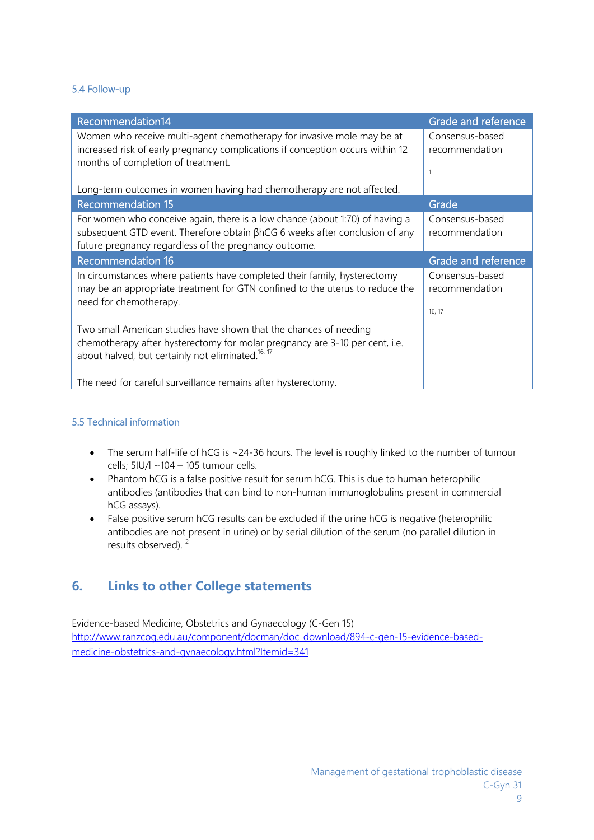## 5.4 Follow-up

| Recommendation14                                                               | Grade and reference |
|--------------------------------------------------------------------------------|---------------------|
| Women who receive multi-agent chemotherapy for invasive mole may be at         | Consensus-based     |
| increased risk of early pregnancy complications if conception occurs within 12 | recommendation      |
| months of completion of treatment.                                             |                     |
|                                                                                | -1                  |
| Long-term outcomes in women having had chemotherapy are not affected.          |                     |
| <b>Recommendation 15</b>                                                       | Grade               |
| For women who conceive again, there is a low chance (about 1:70) of having a   | Consensus-based     |
| subsequent GTD event. Therefore obtain βhCG 6 weeks after conclusion of any    | recommendation      |
| future pregnancy regardless of the pregnancy outcome.                          |                     |
| <b>Recommendation 16</b>                                                       | Grade and reference |
|                                                                                |                     |
| In circumstances where patients have completed their family, hysterectomy      | Consensus-based     |
| may be an appropriate treatment for GTN confined to the uterus to reduce the   | recommendation      |
| need for chemotherapy.                                                         |                     |
|                                                                                | 16, 17              |
| Two small American studies have shown that the chances of needing              |                     |
| chemotherapy after hysterectomy for molar pregnancy are 3-10 per cent, i.e.    |                     |
| about halved, but certainly not eliminated. <sup>16, 17</sup>                  |                     |
|                                                                                |                     |

## 5.5 Technical information

- The serum half-life of hCG is ~24-36 hours. The level is roughly linked to the number of tumour cells; 5IU/l ~104 – 105 tumour cells.
- Phantom hCG is a false positive result for serum hCG. This is due to human heterophilic antibodies (antibodies that can bind to non-human immunoglobulins present in commercial hCG assays).
- False positive serum hCG results can be excluded if the urine hCG is negative (heterophilic antibodies are not present in urine) or by serial dilution of the serum (no parallel dilution in results observed).<sup>2</sup>

## **6. Links to other College statements**

Evidence-based Medicine, Obstetrics and Gynaecology (C-Gen 15) http://www.ranzcog.edu.au/component/docman/doc\_download/894-c-gen-15-evidence-basedmedicine-obstetrics-and-gynaecology.html?Itemid=341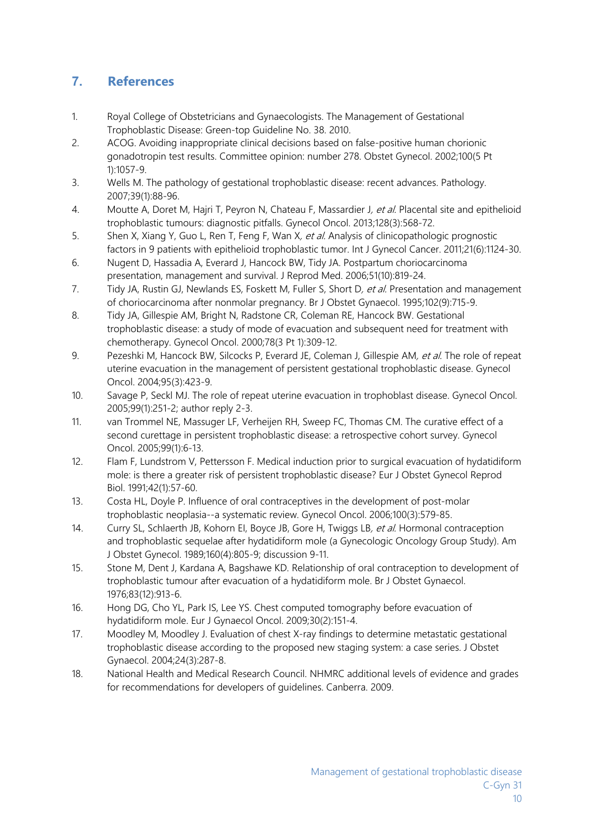# **7. References**

- 1. Royal College of Obstetricians and Gynaecologists. The Management of Gestational Trophoblastic Disease: Green-top Guideline No. 38. 2010.
- 2. ACOG. Avoiding inappropriate clinical decisions based on false-positive human chorionic gonadotropin test results. Committee opinion: number 278. Obstet Gynecol. 2002;100(5 Pt 1):1057-9.
- 3. Wells M. The pathology of gestational trophoblastic disease: recent advances. Pathology. 2007;39(1):88-96.
- 4. Moutte A, Doret M, Hajri T, Peyron N, Chateau F, Massardier J, et al. Placental site and epithelioid trophoblastic tumours: diagnostic pitfalls. Gynecol Oncol. 2013;128(3):568-72.
- 5. Shen X, Xiang Y, Guo L, Ren T, Feng F, Wan X, et al. Analysis of clinicopathologic prognostic factors in 9 patients with epithelioid trophoblastic tumor. Int J Gynecol Cancer. 2011;21(6):1124-30.
- 6. Nugent D, Hassadia A, Everard J, Hancock BW, Tidy JA. Postpartum choriocarcinoma presentation, management and survival. J Reprod Med. 2006;51(10):819-24.
- 7. Tidy JA, Rustin GJ, Newlands ES, Foskett M, Fuller S, Short D, et al. Presentation and management of choriocarcinoma after nonmolar pregnancy. Br J Obstet Gynaecol. 1995;102(9):715-9.
- 8. Tidy JA, Gillespie AM, Bright N, Radstone CR, Coleman RE, Hancock BW. Gestational trophoblastic disease: a study of mode of evacuation and subsequent need for treatment with chemotherapy. Gynecol Oncol. 2000;78(3 Pt 1):309-12.
- 9. Pezeshki M, Hancock BW, Silcocks P, Everard JE, Coleman J, Gillespie AM, et al. The role of repeat uterine evacuation in the management of persistent gestational trophoblastic disease. Gynecol Oncol. 2004;95(3):423-9.
- 10. Savage P, Seckl MJ. The role of repeat uterine evacuation in trophoblast disease. Gynecol Oncol. 2005;99(1):251-2; author reply 2-3.
- 11. van Trommel NE, Massuger LF, Verheijen RH, Sweep FC, Thomas CM. The curative effect of a second curettage in persistent trophoblastic disease: a retrospective cohort survey. Gynecol Oncol. 2005;99(1):6-13.
- 12. Flam F, Lundstrom V, Pettersson F. Medical induction prior to surgical evacuation of hydatidiform mole: is there a greater risk of persistent trophoblastic disease? Eur J Obstet Gynecol Reprod Biol. 1991;42(1):57-60.
- 13. Costa HL, Doyle P. Influence of oral contraceptives in the development of post-molar trophoblastic neoplasia--a systematic review. Gynecol Oncol. 2006;100(3):579-85.
- 14. Curry SL, Schlaerth JB, Kohorn EI, Boyce JB, Gore H, Twiggs LB, et al. Hormonal contraception and trophoblastic sequelae after hydatidiform mole (a Gynecologic Oncology Group Study). Am J Obstet Gynecol. 1989;160(4):805-9; discussion 9-11.
- 15. Stone M, Dent J, Kardana A, Bagshawe KD. Relationship of oral contraception to development of trophoblastic tumour after evacuation of a hydatidiform mole. Br J Obstet Gynaecol. 1976;83(12):913-6.
- 16. Hong DG, Cho YL, Park IS, Lee YS. Chest computed tomography before evacuation of hydatidiform mole. Eur J Gynaecol Oncol. 2009;30(2):151-4.
- 17. Moodley M, Moodley J. Evaluation of chest X-ray findings to determine metastatic gestational trophoblastic disease according to the proposed new staging system: a case series. J Obstet Gynaecol. 2004;24(3):287-8.
- 18. National Health and Medical Research Council. NHMRC additional levels of evidence and grades for recommendations for developers of guidelines. Canberra. 2009.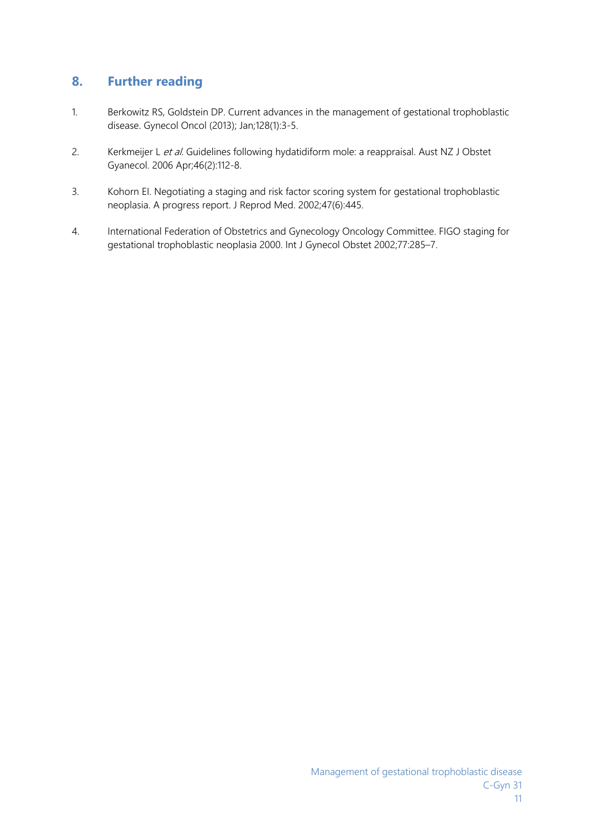## **8. Further reading**

- 1. Berkowitz RS, Goldstein DP. Current advances in the management of gestational trophoblastic disease. Gynecol Oncol (2013); Jan;128(1):3-5.
- 2. Kerkmeijer L et al. Guidelines following hydatidiform mole: a reappraisal. Aust NZ J Obstet Gyanecol. 2006 Apr;46(2):112-8.
- 3. Kohorn EI. Negotiating a staging and risk factor scoring system for gestational trophoblastic neoplasia. A progress report. J Reprod Med. 2002;47(6):445.
- 4. International Federation of Obstetrics and Gynecology Oncology Committee. FIGO staging for gestational trophoblastic neoplasia 2000. Int J Gynecol Obstet 2002;77:285–7.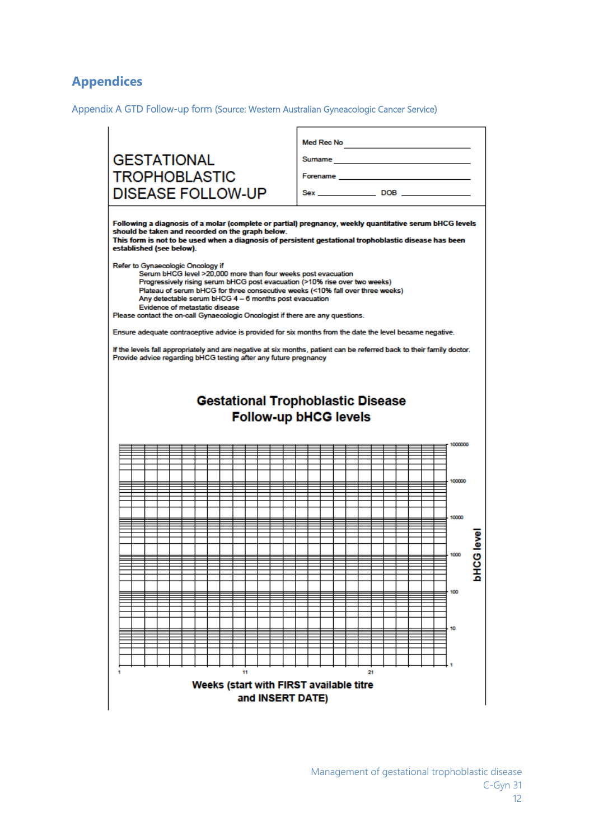# **Appendices**

Appendix A GTD Follow-up form (Source: Western Australian Gyneacologic Cancer Service)

| <b>GESTATIONAL</b>                                                                                                                                                                                                                                                                                                                                                                                                                                                                                                                                                                                                                                                                                                                                                                                                                                                                                                                                                                                                                                            |                                                                                                                                                                                                                                |
|---------------------------------------------------------------------------------------------------------------------------------------------------------------------------------------------------------------------------------------------------------------------------------------------------------------------------------------------------------------------------------------------------------------------------------------------------------------------------------------------------------------------------------------------------------------------------------------------------------------------------------------------------------------------------------------------------------------------------------------------------------------------------------------------------------------------------------------------------------------------------------------------------------------------------------------------------------------------------------------------------------------------------------------------------------------|--------------------------------------------------------------------------------------------------------------------------------------------------------------------------------------------------------------------------------|
| <b>TROPHOBLASTIC</b>                                                                                                                                                                                                                                                                                                                                                                                                                                                                                                                                                                                                                                                                                                                                                                                                                                                                                                                                                                                                                                          | Forename and the contract of the contract of the contract of the contract of the contract of the contract of the contract of the contract of the contract of the contract of the contract of the contract of the contract of t |
| <b>DISEASE FOLLOW-UP</b>                                                                                                                                                                                                                                                                                                                                                                                                                                                                                                                                                                                                                                                                                                                                                                                                                                                                                                                                                                                                                                      |                                                                                                                                                                                                                                |
| Following a diagnosis of a molar (complete or partial) pregnancy, weekly quantitative serum bHCG levels<br>should be taken and recorded on the graph below.<br>This form is not to be used when a diagnosis of persistent gestational trophoblastic disease has been<br>established (see below).<br>Refer to Gynaecologic Oncology if<br>Serum bHCG level >20,000 more than four weeks post evacuation<br>Progressively rising serum bHCG post evacuation (>10% rise over two weeks)<br>Plateau of serum bHCG for three consecutive weeks (<10% fall over three weeks)<br>Any detectable serum bHCG 4 - 6 months post evacuation<br>Evidence of metastatic disease<br>Please contact the on-call Gynaecologic Oncologist if there are any questions.<br>Ensure adequate contraceptive advice is provided for six months from the date the level became negative.<br>If the levels fall appropriately and are negative at six months, patient can be referred back to their family doctor.<br>Provide advice regarding bHCG testing after any future pregnancy | <b>Gestational Trophoblastic Disease</b><br>Follow-up bHCG levels                                                                                                                                                              |
|                                                                                                                                                                                                                                                                                                                                                                                                                                                                                                                                                                                                                                                                                                                                                                                                                                                                                                                                                                                                                                                               | 1000000                                                                                                                                                                                                                        |
|                                                                                                                                                                                                                                                                                                                                                                                                                                                                                                                                                                                                                                                                                                                                                                                                                                                                                                                                                                                                                                                               |                                                                                                                                                                                                                                |
|                                                                                                                                                                                                                                                                                                                                                                                                                                                                                                                                                                                                                                                                                                                                                                                                                                                                                                                                                                                                                                                               | 100000                                                                                                                                                                                                                         |
|                                                                                                                                                                                                                                                                                                                                                                                                                                                                                                                                                                                                                                                                                                                                                                                                                                                                                                                                                                                                                                                               |                                                                                                                                                                                                                                |
|                                                                                                                                                                                                                                                                                                                                                                                                                                                                                                                                                                                                                                                                                                                                                                                                                                                                                                                                                                                                                                                               |                                                                                                                                                                                                                                |
|                                                                                                                                                                                                                                                                                                                                                                                                                                                                                                                                                                                                                                                                                                                                                                                                                                                                                                                                                                                                                                                               | 10000                                                                                                                                                                                                                          |
|                                                                                                                                                                                                                                                                                                                                                                                                                                                                                                                                                                                                                                                                                                                                                                                                                                                                                                                                                                                                                                                               |                                                                                                                                                                                                                                |
|                                                                                                                                                                                                                                                                                                                                                                                                                                                                                                                                                                                                                                                                                                                                                                                                                                                                                                                                                                                                                                                               | <b>BABI DOH</b>                                                                                                                                                                                                                |
|                                                                                                                                                                                                                                                                                                                                                                                                                                                                                                                                                                                                                                                                                                                                                                                                                                                                                                                                                                                                                                                               | 1000                                                                                                                                                                                                                           |
|                                                                                                                                                                                                                                                                                                                                                                                                                                                                                                                                                                                                                                                                                                                                                                                                                                                                                                                                                                                                                                                               | ≏                                                                                                                                                                                                                              |
|                                                                                                                                                                                                                                                                                                                                                                                                                                                                                                                                                                                                                                                                                                                                                                                                                                                                                                                                                                                                                                                               | 100                                                                                                                                                                                                                            |
|                                                                                                                                                                                                                                                                                                                                                                                                                                                                                                                                                                                                                                                                                                                                                                                                                                                                                                                                                                                                                                                               |                                                                                                                                                                                                                                |
|                                                                                                                                                                                                                                                                                                                                                                                                                                                                                                                                                                                                                                                                                                                                                                                                                                                                                                                                                                                                                                                               |                                                                                                                                                                                                                                |
|                                                                                                                                                                                                                                                                                                                                                                                                                                                                                                                                                                                                                                                                                                                                                                                                                                                                                                                                                                                                                                                               | 10                                                                                                                                                                                                                             |
|                                                                                                                                                                                                                                                                                                                                                                                                                                                                                                                                                                                                                                                                                                                                                                                                                                                                                                                                                                                                                                                               |                                                                                                                                                                                                                                |
|                                                                                                                                                                                                                                                                                                                                                                                                                                                                                                                                                                                                                                                                                                                                                                                                                                                                                                                                                                                                                                                               |                                                                                                                                                                                                                                |
| 11                                                                                                                                                                                                                                                                                                                                                                                                                                                                                                                                                                                                                                                                                                                                                                                                                                                                                                                                                                                                                                                            | 21                                                                                                                                                                                                                             |
| Weeks (start with FIRST available titre<br>and INSERT DATE)                                                                                                                                                                                                                                                                                                                                                                                                                                                                                                                                                                                                                                                                                                                                                                                                                                                                                                                                                                                                   |                                                                                                                                                                                                                                |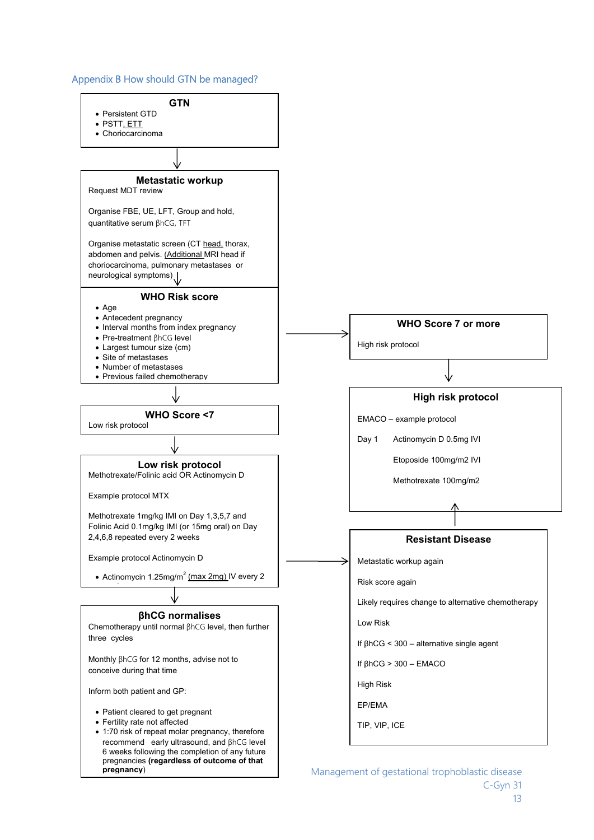#### Appendix B How should GTN be managed?



 Management of gestational trophoblastic disease C-Gyn 31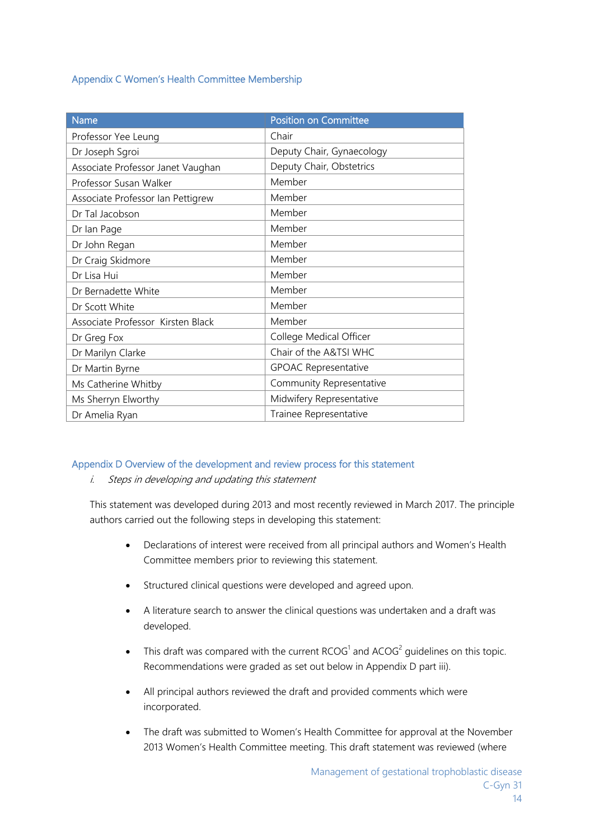## Appendix C Women's Health Committee Membership

| <b>Name</b>                       | <b>Position on Committee</b> |
|-----------------------------------|------------------------------|
| Professor Yee Leung               | Chair                        |
| Dr Joseph Sgroi                   | Deputy Chair, Gynaecology    |
| Associate Professor Janet Vaughan | Deputy Chair, Obstetrics     |
| Professor Susan Walker            | Member                       |
| Associate Professor Ian Pettigrew | Member                       |
| Dr Tal Jacobson                   | Member                       |
| Dr Ian Page                       | Member                       |
| Dr John Regan                     | Member                       |
| Dr Craig Skidmore                 | Member                       |
| Dr Lisa Hui                       | Member                       |
| Dr Bernadette White               | Member                       |
| Dr Scott White                    | Member                       |
| Associate Professor Kirsten Black | Member                       |
| Dr Greg Fox                       | College Medical Officer      |
| Dr Marilyn Clarke                 | Chair of the A&TSI WHC       |
| Dr Martin Byrne                   | <b>GPOAC Representative</b>  |
| Ms Catherine Whitby               | Community Representative     |
| Ms Sherryn Elworthy               | Midwifery Representative     |
| Dr Amelia Ryan                    | Trainee Representative       |

## Appendix D Overview of the development and review process for this statement

i. Steps in developing and updating this statement

This statement was developed during 2013 and most recently reviewed in March 2017. The principle authors carried out the following steps in developing this statement:

- Declarations of interest were received from all principal authors and Women's Health Committee members prior to reviewing this statement.
- Structured clinical questions were developed and agreed upon.
- A literature search to answer the clinical questions was undertaken and a draft was developed.
- This draft was compared with the current  $RCOG<sup>1</sup>$  and  $ACOG<sup>2</sup>$  guidelines on this topic. Recommendations were graded as set out below in Appendix D part iii).
- All principal authors reviewed the draft and provided comments which were incorporated.
- The draft was submitted to Women's Health Committee for approval at the November 2013 Women's Health Committee meeting. This draft statement was reviewed (where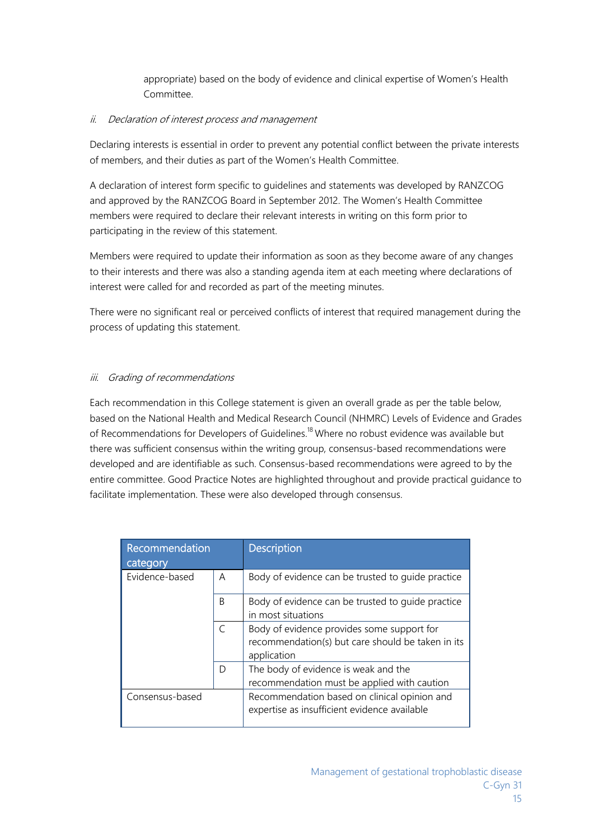appropriate) based on the body of evidence and clinical expertise of Women's Health Committee.

## ii. Declaration of interest process and management

Declaring interests is essential in order to prevent any potential conflict between the private interests of members, and their duties as part of the Women's Health Committee.

A declaration of interest form specific to guidelines and statements was developed by RANZCOG and approved by the RANZCOG Board in September 2012. The Women's Health Committee members were required to declare their relevant interests in writing on this form prior to participating in the review of this statement.

Members were required to update their information as soon as they become aware of any changes to their interests and there was also a standing agenda item at each meeting where declarations of interest were called for and recorded as part of the meeting minutes.

There were no significant real or perceived conflicts of interest that required management during the process of updating this statement.

## iii. Grading of recommendations

Each recommendation in this College statement is given an overall grade as per the table below, based on the National Health and Medical Research Council (NHMRC) Levels of Evidence and Grades of Recommendations for Developers of Guidelines.<sup>18</sup> Where no robust evidence was available but there was sufficient consensus within the writing group, consensus-based recommendations were developed and are identifiable as such. Consensus-based recommendations were agreed to by the entire committee. Good Practice Notes are highlighted throughout and provide practical guidance to facilitate implementation. These were also developed through consensus.

| Recommendation<br>category |           | <b>Description</b>                                                                                             |
|----------------------------|-----------|----------------------------------------------------------------------------------------------------------------|
| Evidence-based             | A         | Body of evidence can be trusted to quide practice                                                              |
|                            | B         | Body of evidence can be trusted to quide practice<br>in most situations                                        |
|                            | $\subset$ | Body of evidence provides some support for<br>recommendation(s) but care should be taken in its<br>application |
|                            | D         | The body of evidence is weak and the<br>recommendation must be applied with caution                            |
| Consensus-based            |           | Recommendation based on clinical opinion and<br>expertise as insufficient evidence available                   |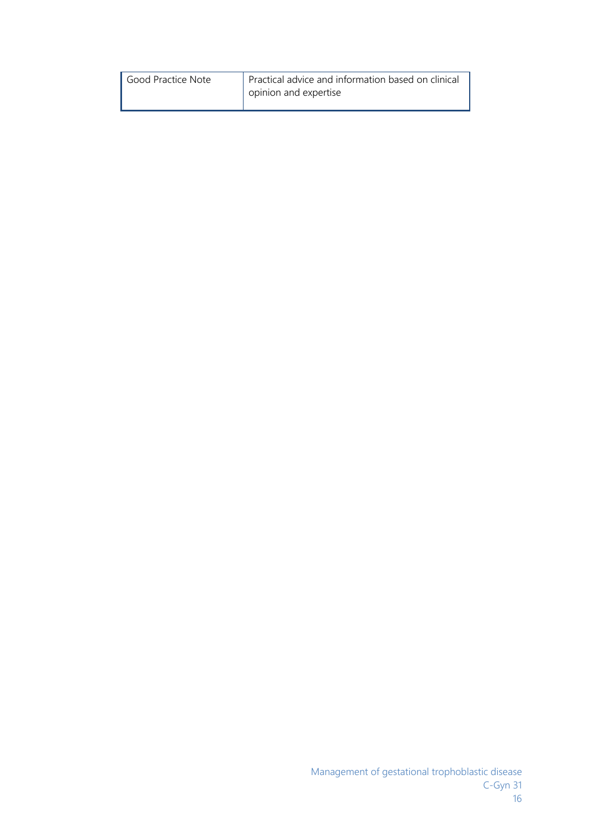| Good Practice Note | Practical advice and information based on clinical<br>opinion and expertise |
|--------------------|-----------------------------------------------------------------------------|
|--------------------|-----------------------------------------------------------------------------|